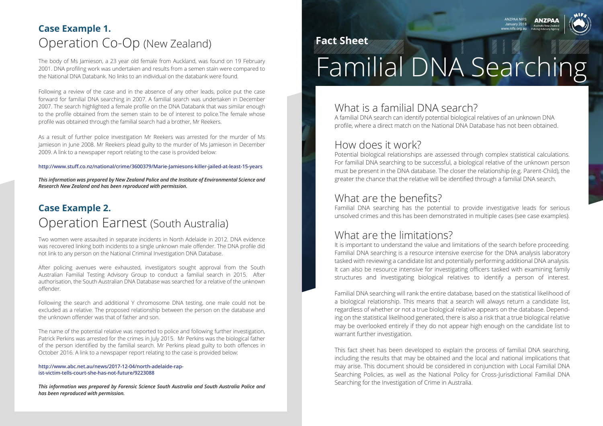### What is a familial DNA search?

A familial DNA search can identify potential biological relatives of an unknown DNA profile, where a direct match on the National DNA Database has not been obtained.

#### How does it work?

Potential biological relationships are assessed through complex statistical calculations. For familial DNA searching to be successful, a biological relative of the unknown person must be present in the DNA database. The closer the relationship (e.g. Parent-Child), the greater the chance that the relative will be identified through a familial DNA search.

#### What are the benefits?

Familial DNA searching has the potential to provide investigative leads for serious unsolved crimes and this has been demonstrated in multiple cases (see case examples).

#### What are the limitations?

It is important to understand the value and limitations of the search before proceeding. Familial DNA searching is a resource intensive exercise for the DNA analysis laboratory tasked with reviewing a candidate list and potentially performing additional DNA analysis. It can also be resource intensive for investigating officers tasked with examining family structures and investigating biological relatives to identify a person of interest.

Familial DNA searching will rank the entire database, based on the statistical likelihood of a biological relationship. This means that a search will always return a candidate list, regardless of whether or not a true biological relative appears on the database. Depending on the statistical likelihood generated, there is also a risk that a true biological relative may be overlooked entirely if they do not appear high enough on the candidate list to warrant further investigation.

This fact sheet has been developed to explain the process of familial DNA searching, including the results that may be obtained and the local and national implications that may arise. This document should be considered in conjunction with Local Familial DNA Searching Policies, as well as the National Policy for Cross-Jurisdictional Familial DNA Searching for the Investigation of Crime in Australia.

ANZPAA NIFS January 2018 www.nifs.org.au





#### **Fact Sheet**

# The body of Ms Jamieson, a 23 year old female from Auckland, was found on 19 February<br>2001. DNA profiling work was undertaken and results from a semen stain were compared to<br>the National DNA Databank. No links to an indivi

2001. DNA profiling work was undertaken and results from a semen stain were compared to the National DNA Databank. No links to an individual on the databank were found.

Following a review of the case and in the absence of any other leads, police put the case forward for familial DNA searching in 2007. A familial search was undertaken in December 2007. The search highlighted a female profile on the DNA Databank that was similar enough to the profile obtained from the semen stain to be of interest to police.The female whose profile was obtained through the familial search had a brother, Mr Reekers.

As a result of further police investigation Mr Reekers was arrested for the murder of Ms Jamieson in June 2008. Mr Reekers plead guilty to the murder of Ms Jamieson in December 2009. A link to a newspaper report relating to the case is provided below:

#### **http://www.stuff.co.nz/national/crime/3600379/Marie-Jamiesons-killer-jailed-at-least-15-years**

*This information was prepared by New Zealand Police and the Institute of Environmental Science and Research New Zealand and has been reproduced with permission.*

Two women were assaulted in separate incidents in North Adelaide in 2012. DNA evidence was recovered linking both incidents to a single unknown male offender. The DNA profile did not link to any person on the National Criminal Investigation DNA Database.

After policing avenues were exhausted, investigators sought approval from the South Australian Familial Testing Advisory Group to conduct a familial search in 2015. After authorisation, the South Australian DNA Database was searched for a relative of the unknown offender.

Following the search and additional Y chromosome DNA testing, one male could not be excluded as a relative. The proposed relationship between the person on the database and the unknown offender was that of father and son.

The name of the potential relative was reported to police and following further investigation, Patrick Perkins was arrested for the crimes in July 2015. Mr Perkins was the biological father of the person identified by the familial search. Mr Perkins plead guilty to both offences in October 2016. A link to a newspaper report relating to the case is provided below:

**http://www.abc.net.au/news/2017-12-04/north-adelaide-rapist-victim-tells-court-she-has-not-future/9223088**

*This information was prepared by Forensic Science South Australia and South Australia Police and has been reproduced with permission.* 

# **Case Example 1.** Operation Co-Op (New Zealand)

# **Case Example 2.** Operation Earnest (South Australia)